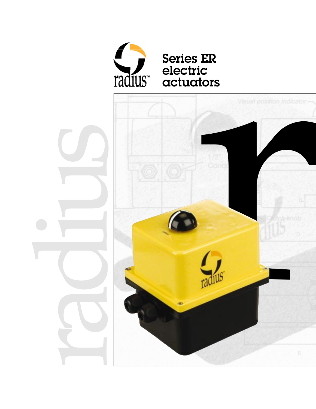

# **Series ER** electric<br>actuators

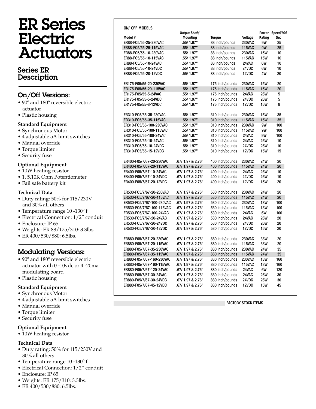# ER Series Electric **Actuators**

## Series ER Description

# On/Off Versions:

- 90º and 180º reversible electric actuator
- Plastic housing

#### **Standard Equipment**

- Synchronous Motor
- 4 adjustable 5A limit switches
- Manual override
- Torque limiter
- Security fuse

#### **Optional Equipment**

- 10W heating resistor
- 1, 5,10K Ohm Potentiometer
- Fail safe battery kit

#### **Technical Data**

- Duty rating: 50% for 115/230V and 30% all others
- Temperature range 10 -130º f
- Electrical Connection: 1/2" conduit
- Enclosure: IP 65
- Weights: ER 88/175/310: 3.3lbs.
- ER 400/530/880: 6.5lbs.

### Modulating Versions:

- 90° and 180° reversible electric actuator with 0 -10vdc or 4 -20ma modulating board
- Plastic housing

#### **Standard Equipment**

- Synchronous Motor
- 4 adjustable 5A limit switches
- Manual override
- Torque limiter
- Security fuse

#### **Optional Equipment**

• 10W heating resistor

#### **Technical Data**

- Duty rating: 50% for 115/230V and 30% all others
- Temperature range 10 -130º f
- Electrical Connection: 1/2" conduit
- Enclosure: IP 65
- Weights: ER 175/310: 3.3lbs.
- ER 400/530/880: 6.5lbs.

|  |  |  | <b>ON/ OFF MODELS</b> |  |
|--|--|--|-----------------------|--|
|--|--|--|-----------------------|--|

|                           | <b>Output Shaft/</b> |                 |               | Power      | Speed/90° |
|---------------------------|----------------------|-----------------|---------------|------------|-----------|
| Model #                   | <b>Mounting</b>      | <b>Torque</b>   | Voltage       | Rating     | Sec.      |
| ER88-F05/55-25-230VAC     | .55/1.97"            | 88 Inch/pounds  | <b>230VAC</b> | 9W         | 25        |
| ER88-F05/55-25-115VAC     | .55/1.97"            | 88 Inch/pounds  | <b>115VAC</b> | 9W         | 25        |
| ER88-F05/55-10-230VAC     | .55/1.97"            | 88 Inch/pounds  | <b>230VAC</b> | <b>15W</b> | 10        |
| ER88-F05/55-10-115VAC     | .55/1.97"            | 88 Inch/pounds  | <b>115VAC</b> | <b>15W</b> | 10        |
| ER88-F05/55-10-24VAC      | .55/1.97"            | 88 Inch/pounds  | 24VAC         | 6W         | 10        |
| ER88-F05/55-10-24VDC      | .55/1.97"            | 88 Inch/pounds  | 24VDC         | 6W         | 10        |
| ER88-F05/55-20-12VDC      | .55/1.97"            | 88 Inch/pounds  | 12VDC         | 4W         | 20        |
|                           |                      |                 |               |            |           |
| ER175-F05/55-20-230VAC    | .55/1.97"            | 175 Inch/pounds | <b>230VAC</b> | <b>15W</b> | 20        |
| ER175-F05/55-20-115VAC    | .55/1.97"            | 175 Inch/pounds | <b>115VAC</b> | <b>15W</b> | 20        |
| ER175-F05/55-5-24VAC      | .55/1.97"            | 175 Inch/pounds | 24VAC         | <b>26W</b> | 5         |
| ER175-F05/55-5-24VDC      | .55/1.97"            | 175 Inch/pounds | 24VDC         | <b>26W</b> | 5         |
| ER175-F05/55-8-12VDC      | .55/1.97"            | 175 Inch/pounds | 12VDC         | <b>15W</b> | 8         |
|                           |                      |                 |               |            |           |
| ER310-F05/55-35-230VAC    | .55/1.97"            | 310 Inch/pounds | <b>230VAC</b> | <b>15W</b> | 35        |
| ER310-F05/55-35-115VAC    | .55/1.97"            | 310 Inch/pounds | <b>115VAC</b> | <b>15W</b> | 35        |
| ER310-F05/55-100-230VAC   | .55/1.97"            | 310 Inch/pounds | <b>230VAC</b> | 9W         | 100       |
| ER310-F05/55-100-115VAC   | .55/1.97"            | 310 Inch/pounds | <b>115VAC</b> | 9W         | 100       |
| ER310-F05/55-100-24VAC    | .55/1.97"            | 310 Inch/pounds | 24VAC         | 9W         | 100       |
| ER310-F05/55-10-24VAC     | .55/1.97"            | 310 Inch/pounds | 24VAC         | <b>26W</b> | 10        |
| ER310-F05/55-10-24VDC     | .55/1.97"            | 310 Inch/pounds | 24VDC         | <b>26W</b> | 10        |
| ER310-F05/55-15-12VDC     | .55/1.97"            | 310 Inch/pounds | 12VDC         | <b>15W</b> | 15        |
|                           |                      |                 |               |            |           |
| ER400-F05/7/67-20-230VAC  | .67/ 1.97 & 2.76"    | 400 Inch/pounds | <b>230VAC</b> | <b>24W</b> | 20        |
| ER400-F05/7/67-20-115VAC  | .67/ 1.97 & 2.76"    | 400 Inch/pounds | <b>115VAC</b> | <b>24W</b> | 20        |
| ER400-F05/7/67-10-24VAC   | .67/ 1.97 & 2.76"    | 400 Inch/pounds | 24VAC         | <b>26W</b> | 10        |
| ER400-F05/7/67-10-24VDC   | .67/ 1.97 & 2.76"    | 400 Inch/pounds | 24VDC         | <b>26W</b> | 10        |
| ER400-F05/7/67-20-12VDC   | .67/ 1.97 & 2.76"    | 400 Inch/pounds | 12VDC         | <b>15W</b> | 20        |
|                           |                      |                 |               |            |           |
| ER530-F05/7/67-20-230VAC  | .67/ 1.97 & 2.76"    | 530 Inch/pounds | <b>230VAC</b> | <b>24W</b> | 20        |
| ER530-F05/7/67-20-115VAC  | .67/ 1.97 & 2.76"    | 530 Inch/pounds | <b>115VAC</b> | <b>24W</b> | 20        |
| ER530-F05/7/67-100-230VAC | .67/ 1.97 & 2.76"    | 530 Inch/pounds | <b>230VAC</b> | <b>13W</b> | 100       |
| ER530-F05/7/67-100-115VAC | .67/ 1.97 & 2.76"    | 530 Inch/pounds | <b>115VAC</b> | <b>13W</b> | 100       |
| ER530-F05/7/67-100-24VAC  | .67/ 1.97 & 2.76"    | 530 Inch/pounds | 24VAC         | 6W         | 100       |
| ER530-F05/7/67-20-24VAC   | .67/ 1.97 & 2.76"    | 530 Inch/pounds | 24VAC         | <b>26W</b> | 20        |
| ER530-F05/7/67-20-24VDC   | .67/ 1.97 & 2.76"    | 530 Inch/pounds | 24VDC         | <b>26W</b> | 20        |
| ER530-F05/7/67-20-12VDC   | .67/ 1.97 & 2.76"    | 530 Inch/pounds | 12VDC         | <b>15W</b> | 20        |
|                           |                      |                 |               |            |           |
| ER880-F05/7/67-20-230VAC  | .67/ 1.97 & 2.76"    | 880 Inch/pounds | <b>230VAC</b> | 38W        | 20        |
| ER880-F05/7/67-20-115VAC  | .67/ 1.97 & 2.76"    | 880 Inch/pounds | <b>115VAC</b> | 38W        | 20        |
| ER880-F05/7/67-35-230VAC  | .67/ 1.97 & 2.76"    | 880 Inch/pounds | <b>230VAC</b> | <b>24W</b> | 35        |
| ER880-F05/7/67-35-115VAC  | .67/ 1.97 & 2.76"    | 880 Inch/pounds | <b>115VAC</b> | <b>24W</b> | 35        |
| ER880-F05/7/67-160-230VAC | .67/ 1.97 & 2.76"    | 880 Inch/pounds | <b>230VAC</b> | <b>13W</b> | 160       |
| ER880-F05/7/67-160-115VAC | .67/ 1.97 & 2.76"    | 880 Inch/pounds | <b>115VAC</b> | <b>13W</b> | 160       |
| ER880-F05/7/67-120-24VAC  | .67/ 1.97 & 2.76"    | 880 Inch/pounds | 24VAC         | 6W         | 120       |
| ER880-F05/7/67-30-24VAC   | .67/ 1.97 & 2.76"    | 880 Inch/pounds | 24VAC         | <b>26W</b> | 30        |
|                           |                      |                 |               |            |           |
| ER880-F05/7/67-30-24VDC   | .67/ 1.97 & 2.76"    | 880 Inch/pounds | 24VDC         | <b>26W</b> | 30        |
| ER880-F05/7/67-45-12VDC   | .67/ 1.97 & 2.76"    | 880 Inch/pounds | 12VDC         | <b>15W</b> | 45        |

FACTORY STOCK ITEMS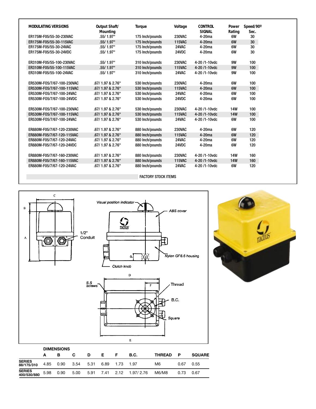| <b>MODULATING VERSIONS</b> | Output Shaft/<br><b>Mounting</b> | <b>Torque</b>   | Voltage       | <b>CONTROL</b><br><b>SIGNAL</b> | Power<br>Rating | Speed/90°<br>Sec. |
|----------------------------|----------------------------------|-----------------|---------------|---------------------------------|-----------------|-------------------|
| ER175M-F05/55-30-230VAC    | .55/1.97"                        | 175 Inch/pounds | <b>230VAC</b> | $4-20ma$                        | 6W              | 30                |
| ER175M-F05/55-30-115VAC    | .55/1.97"                        | 175 Inch/pounds | <b>115VAC</b> | 4-20 <sub>ma</sub>              | 6W              | 30                |
| ER175M-F05/55-30-24VAC     | .55/1.97"                        | 175 Inch/pounds | 24VAC         | 4-20 <sub>ma</sub>              | 6W              | 30                |
| ER175M-F05/55-30-24VDC     | .55/1.97"                        | 175 Inch/pounds | 24VDC         | $4-20ma$                        | 6W              | 30                |
| ER310M-F05/55-100-230VAC   | .55/1.97"                        | 310 Inch/pounds | <b>230VAC</b> | 4-20 /1-10 vdc                  | 9W              | 100               |
| ER310M-F05/55-100-115VAC   | .55/1.97"                        | 310 Inch/pounds | <b>115VAC</b> | 4-20 /1-10 vdc                  | 9W              | 100               |
| ER310M-F05/55-100-24VAC    | .55/1.97"                        | 310 Inch/pounds | 24VAC         | 4-20 /1-10 vdc                  | 9W              | 100               |
| ER530M-F05/7/67-100-230VAC | .67/ 1.97 & 2.76"                | 530 Inch/pounds | <b>230VAC</b> | $4-20ma$                        | 6W              | 100               |
| ER530M-F05/7/67-100-115VAC | .67/ 1.97 & 2.76"                | 530 Inch/pounds | <b>115VAC</b> | $4-20ma$                        | 6W              | 100               |
| ER530M-F05/7/67-100-24VAC  | .67/ 1.97 & 2.76"                | 530 Inch/pounds | 24VAC         | $4-20ma$                        | 6W              | 100               |
| ER530M-F05/7/67-100-24VDC  | .67/ 1.97 & 2.76"                | 530 Inch/pounds | 24VDC         | 4-20 <sub>ma</sub>              | 6W              | 100               |
| ER530M-F05/7/67-100-230VAC | .67/ 1.97 & 2.76"                | 530 Inch/pounds | <b>230VAC</b> | 4-20 /1-10vdc                   | <b>14W</b>      | 100               |
| ER530M-F05/7/67-100-115VAC | .67/ 1.97 & 2.76"                | 530 Inch/pounds | <b>115VAC</b> | 4-20/1-10vdc                    | <b>14W</b>      | 100               |
| ER530M-F05/7/67-100-24VAC  | .67/ 1.97 & 2.76"                | 530 Inch/pounds | 24VAC         | 4-20 /1-10vdc                   | 6W              | 100               |
| ER880M-F05/7/67-120-230VAC | .67/ 1.97 & 2.76"                | 880 Inch/pounds | <b>230VAC</b> | $4-20ma$                        | 6W              | 120               |
| ER880M-F05/7/67-120-115VAC | .67/ 1.97 & 2.76"                | 880 Inch/pounds | <b>115VAC</b> | $4-20ma$                        | 6W              | 120               |
| ER880M-F05/7/67-120-24VAC  | .67/ 1.97 & 2.76"                | 880 Inch/pounds | 24VAC         | $4-20ma$                        | 6W              | 120               |
| ER880M-F05/7/67-120-24VDC  | .67/ 1.97 & 2.76"                | 880 Inch/pounds | 24VDC         | 4-20 <sub>ma</sub>              | 6W              | 120               |
| ER880M-F05/7/67-160-230VAC | .67/1.97 & 2.76"                 | 880 Inch/pounds | <b>230VAC</b> | 4-20 /1-10 vdc                  | <b>14W</b>      | 160               |
| ER880M-F05/7/67-160-115VAC | .67/ 1.97 & 2.76"                | 880 Inch/pounds | <b>115VAC</b> | 4-20 /1-10 vdc                  | <b>14W</b>      | 160               |
| ER880M-F05/7/67-120-24VAC  | .67/ 1.97 & 2.76"                | 880 Inch/pounds | 24VAC         | 4-20 /1-10 vdc                  | 6W              | 120               |

#### FACTORY STOCK ITEMS



|                              | <b>DIMENSIONS</b> |      |      |      |           |      |             |               |      |               |
|------------------------------|-------------------|------|------|------|-----------|------|-------------|---------------|------|---------------|
|                              | А                 | в    | C    | D    | Е.        |      | <b>B.C.</b> | <b>THREAD</b> | Р    | <b>SQUARE</b> |
| <b>SERIES</b><br>88/175/310  | 4.85              | 0.90 | 3.54 | 5.31 | 6.89      | 1.73 | -1.97       | M6            | 0.67 | 0.55          |
| <b>SERIES</b><br>400/530/880 | 5.98              | 0.90 | 5.00 | 5.91 | 7.41 2.12 |      | 1.97/ 2.76  | M6/M8         | 0.73 | 0.67          |